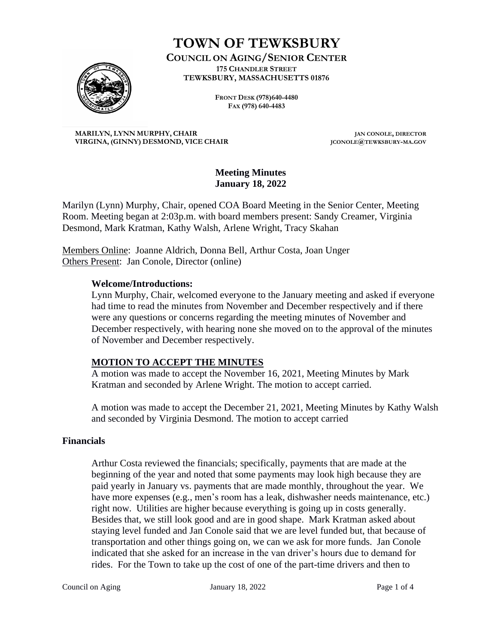

# **TOWN OF TEWKSBURY**

**COUNCIL ON AGING/SENIOR CENTER 175 CHANDLER STREET TEWKSBURY, MASSACHUSETTS 01876**

> **FRONT DESK (978)640-4480 FAX (978) 640-4483**

**MARILYN, LYNN MURPHY, CHAIR JAN CONOLE, DIRECTOR VIRGINA, (GINNY) DESMOND, VICE CHAIR JCONOLE@TEWKSBURY-MA.GOV**

#### **Meeting Minutes January 18, 2022**

Marilyn (Lynn) Murphy, Chair, opened COA Board Meeting in the Senior Center, Meeting Room. Meeting began at 2:03p.m. with board members present: Sandy Creamer, Virginia Desmond, Mark Kratman, Kathy Walsh, Arlene Wright, Tracy Skahan

Members Online: Joanne Aldrich, Donna Bell, Arthur Costa, Joan Unger Others Present: Jan Conole, Director (online)

#### **Welcome/Introductions:**

Lynn Murphy, Chair, welcomed everyone to the January meeting and asked if everyone had time to read the minutes from November and December respectively and if there were any questions or concerns regarding the meeting minutes of November and December respectively, with hearing none she moved on to the approval of the minutes of November and December respectively.

# **MOTION TO ACCEPT THE MINUTES**

A motion was made to accept the November 16, 2021, Meeting Minutes by Mark Kratman and seconded by Arlene Wright. The motion to accept carried.

A motion was made to accept the December 21, 2021, Meeting Minutes by Kathy Walsh and seconded by Virginia Desmond. The motion to accept carried

# **Financials**

Arthur Costa reviewed the financials; specifically, payments that are made at the beginning of the year and noted that some payments may look high because they are paid yearly in January vs. payments that are made monthly, throughout the year. We have more expenses (e.g., men's room has a leak, dishwasher needs maintenance, etc.) right now. Utilities are higher because everything is going up in costs generally. Besides that, we still look good and are in good shape. Mark Kratman asked about staying level funded and Jan Conole said that we are level funded but, that because of transportation and other things going on, we can we ask for more funds. Jan Conole indicated that she asked for an increase in the van driver's hours due to demand for rides. For the Town to take up the cost of one of the part-time drivers and then to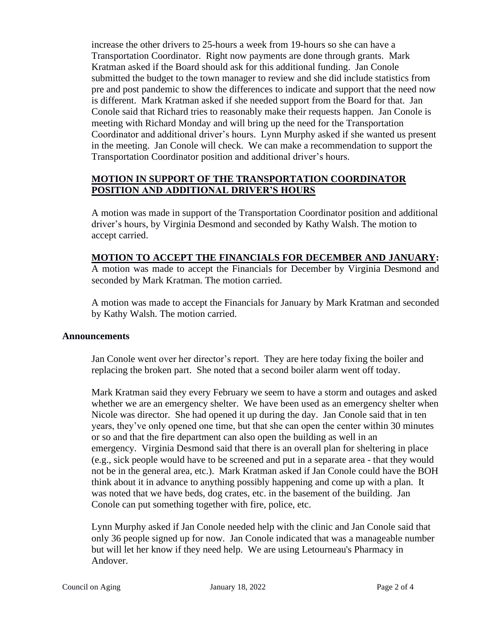increase the other drivers to 25-hours a week from 19-hours so she can have a Transportation Coordinator. Right now payments are done through grants. Mark Kratman asked if the Board should ask for this additional funding. Jan Conole submitted the budget to the town manager to review and she did include statistics from pre and post pandemic to show the differences to indicate and support that the need now is different. Mark Kratman asked if she needed support from the Board for that. Jan Conole said that Richard tries to reasonably make their requests happen. Jan Conole is meeting with Richard Monday and will bring up the need for the Transportation Coordinator and additional driver's hours. Lynn Murphy asked if she wanted us present in the meeting. Jan Conole will check. We can make a recommendation to support the Transportation Coordinator position and additional driver's hours.

# **MOTION IN SUPPORT OF THE TRANSPORTATION COORDINATOR POSITION AND ADDITIONAL DRIVER'S HOURS**

A motion was made in support of the Transportation Coordinator position and additional driver's hours, by Virginia Desmond and seconded by Kathy Walsh. The motion to accept carried.

# **MOTION TO ACCEPT THE FINANCIALS FOR DECEMBER AND JANUARY:**

A motion was made to accept the Financials for December by Virginia Desmond and seconded by Mark Kratman. The motion carried.

A motion was made to accept the Financials for January by Mark Kratman and seconded by Kathy Walsh. The motion carried.

#### **Announcements**

Jan Conole went over her director's report. They are here today fixing the boiler and replacing the broken part. She noted that a second boiler alarm went off today.

Mark Kratman said they every February we seem to have a storm and outages and asked whether we are an emergency shelter. We have been used as an emergency shelter when Nicole was director. She had opened it up during the day. Jan Conole said that in ten years, they've only opened one time, but that she can open the center within 30 minutes or so and that the fire department can also open the building as well in an emergency. Virginia Desmond said that there is an overall plan for sheltering in place (e.g., sick people would have to be screened and put in a separate area - that they would not be in the general area, etc.). Mark Kratman asked if Jan Conole could have the BOH think about it in advance to anything possibly happening and come up with a plan. It was noted that we have beds, dog crates, etc. in the basement of the building. Jan Conole can put something together with fire, police, etc.

Lynn Murphy asked if Jan Conole needed help with the clinic and Jan Conole said that only 36 people signed up for now. Jan Conole indicated that was a manageable number but will let her know if they need help. We are using Letourneau's Pharmacy in Andover.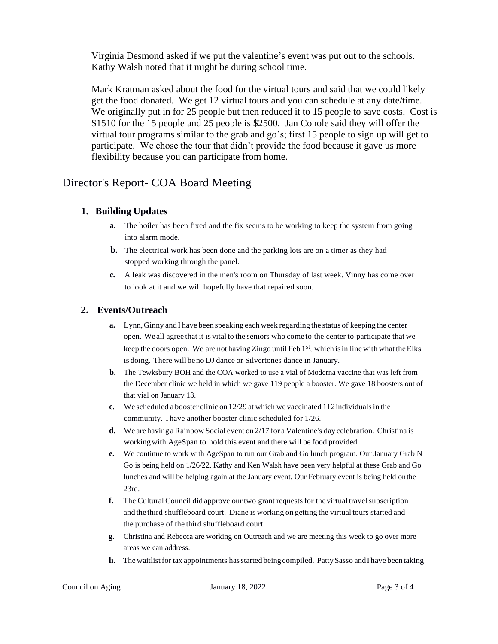Virginia Desmond asked if we put the valentine's event was put out to the schools. Kathy Walsh noted that it might be during school time.

Mark Kratman asked about the food for the virtual tours and said that we could likely get the food donated. We get 12 virtual tours and you can schedule at any date/time. We originally put in for 25 people but then reduced it to 15 people to save costs. Cost is \$1510 for the 15 people and 25 people is \$2500. Jan Conole said they will offer the virtual tour programs similar to the grab and go's; first 15 people to sign up will get to participate. We chose the tour that didn't provide the food because it gave us more flexibility because you can participate from home.

# Director's Report- COA Board Meeting

#### **1. Building Updates**

- **a.** The boiler has been fixed and the fix seems to be working to keep the system from going into alarm mode.
- **b.** The electrical work has been done and the parking lots are on a timer as they had stopped working through the panel.
- **c.** A leak was discovered in the men's room on Thursday of last week. Vinny has come over to look at it and we will hopefully have that repaired soon.

#### **2. Events/Outreach**

- **a.** Lynn, Ginny and I have been speaking each week regarding the status of keeping the center open. We all agree that it is vital to the seniors who come to the center to participate that we keep the doors open. We are not having Zingo until Feb 1<sup>st</sup>, which is in line with what the Elks is doing. There will beno DJ dance or Silvertones dance in January.
- **b.** The Tewksbury BOH and the COA worked to use a vial of Moderna vaccine that was left from the December clinic we held in which we gave 119 people a booster. We gave 18 boosters out of that vial on January 13.
- **c.** We scheduled a booster clinic on 12/29 at which we vaccinated 112individualsin the community. I have another booster clinic scheduled for 1/26.
- **d.** We are having a Rainbow Social event on 2/17 for a Valentine's day celebration. Christina is workingwith AgeSpan to hold this event and there will be food provided.
- **e.** We continue to work with AgeSpan to run our Grab and Go lunch program. Our January Grab N Go is being held on 1/26/22. Kathy and Ken Walsh have been very helpful at these Grab and Go lunches and will be helping again at the January event. Our February event is being held onthe 23rd.
- **f.** The Cultural Council did approve our two grant requests for the virtual travel subscription and the third shuffleboard court. Diane is working on getting the virtual tours started and the purchase of the third shuffleboard court.
- **g.** Christina and Rebecca are working on Outreach and we are meeting this week to go over more areas we can address.
- **h.** The waitlist for tax appointments has started being compiled. Patty Sasso and I have been taking